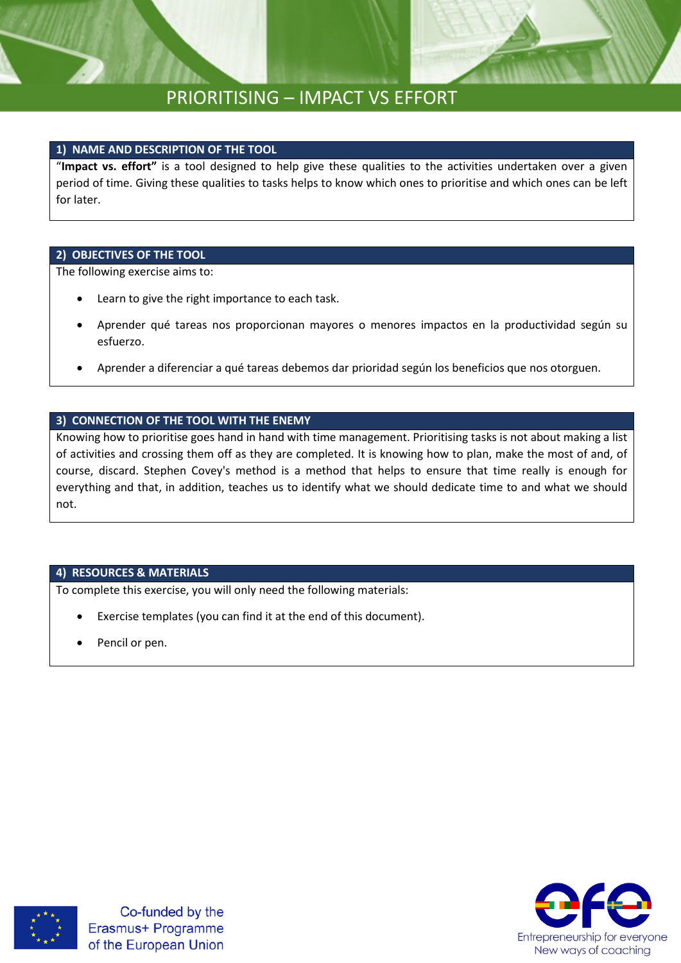### **1) NAME AND DESCRIPTION OF THE TOOL**

"**Impact vs. effort"** is a tool designed to help give these qualities to the activities undertaken over a given period of time. Giving these qualities to tasks helps to know which ones to prioritise and which ones can be left for later.

### **2) OBJECTIVES OF THE TOOL**

The following exercise aims to:

- Learn to give the right importance to each task.
- Aprender qué tareas nos proporcionan mayores o menores impactos en la productividad según su esfuerzo.
- Aprender a diferenciar a qué tareas debemos dar prioridad según los beneficios que nos otorguen.

### **3) CONNECTION OF THE TOOL WITH THE ENEMY**

Knowing how to prioritise goes hand in hand with time management. Prioritising tasks is not about making a list of activities and crossing them off as they are completed. It is knowing how to plan, make the most of and, of course, discard. Stephen Covey's method is a method that helps to ensure that time really is enough for everything and that, in addition, teaches us to identify what we should dedicate time to and what we should not.

### **4) RESOURCES & MATERIALS**

To complete this exercise, you will only need the following materials:

- Exercise templates (you can find it at the end of this document).
- Pencil or pen.



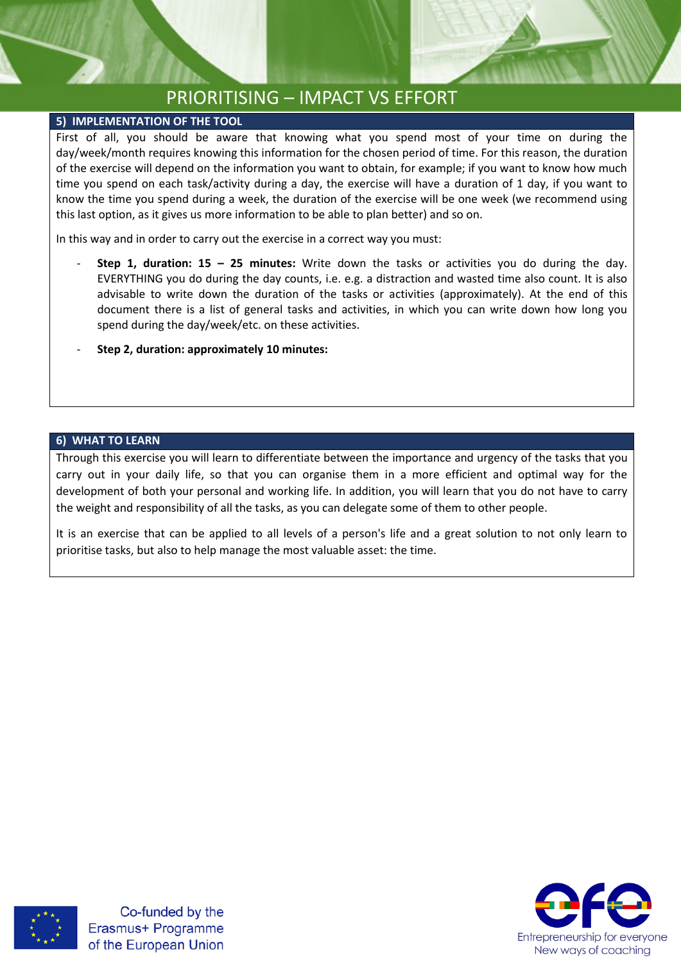### **5) IMPLEMENTATION OF THE TOOL**

First of all, you should be aware that knowing what you spend most of your time on during the day/week/month requires knowing this information for the chosen period of time. For this reason, the duration of the exercise will depend on the information you want to obtain, for example; if you want to know how much time you spend on each task/activity during a day, the exercise will have a duration of 1 day, if you want to know the time you spend during a week, the duration of the exercise will be one week (we recommend using this last option, as it gives us more information to be able to plan better) and so on.

In this way and in order to carry out the exercise in a correct way you must:

- **Step 1, duration: 15 – 25 minutes:** Write down the tasks or activities you do during the day. EVERYTHING you do during the day counts, i.e. e.g. a distraction and wasted time also count. It is also advisable to write down the duration of the tasks or activities (approximately). At the end of this document there is a list of general tasks and activities, in which you can write down how long you spend during the day/week/etc. on these activities.
- **Step 2, duration: approximately 10 minutes:**

### **6) WHAT TO LEARN**

Through this exercise you will learn to differentiate between the importance and urgency of the tasks that you carry out in your daily life, so that you can organise them in a more efficient and optimal way for the development of both your personal and working life. In addition, you will learn that you do not have to carry the weight and responsibility of all the tasks, as you can delegate some of them to other people.

It is an exercise that can be applied to all levels of a person's life and a great solution to not only learn to prioritise tasks, but also to help manage the most valuable asset: the time.



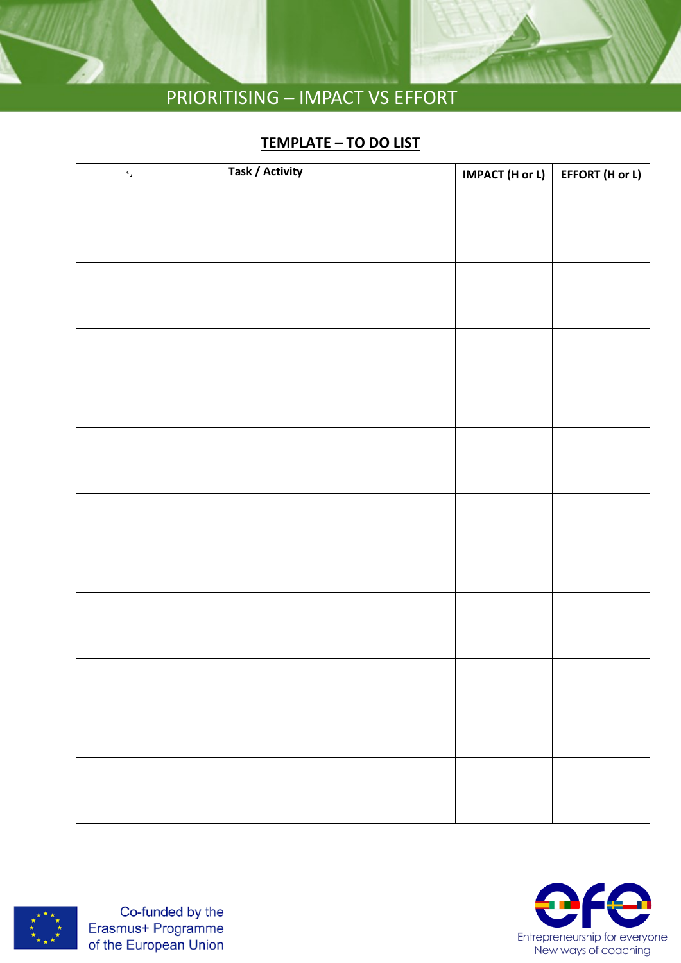

### **TEMPLATE – TO DO LIST**

| <b>Task / Activity</b><br>$\hat{\mathcal{S}}_j$ | IMPACT (H or L) | EFFORT (H or L) |
|-------------------------------------------------|-----------------|-----------------|
|                                                 |                 |                 |
|                                                 |                 |                 |
|                                                 |                 |                 |
|                                                 |                 |                 |
|                                                 |                 |                 |
|                                                 |                 |                 |
|                                                 |                 |                 |
|                                                 |                 |                 |
|                                                 |                 |                 |
|                                                 |                 |                 |
|                                                 |                 |                 |
|                                                 |                 |                 |
|                                                 |                 |                 |
|                                                 |                 |                 |
|                                                 |                 |                 |
|                                                 |                 |                 |
|                                                 |                 |                 |
|                                                 |                 |                 |
|                                                 |                 |                 |
|                                                 |                 |                 |



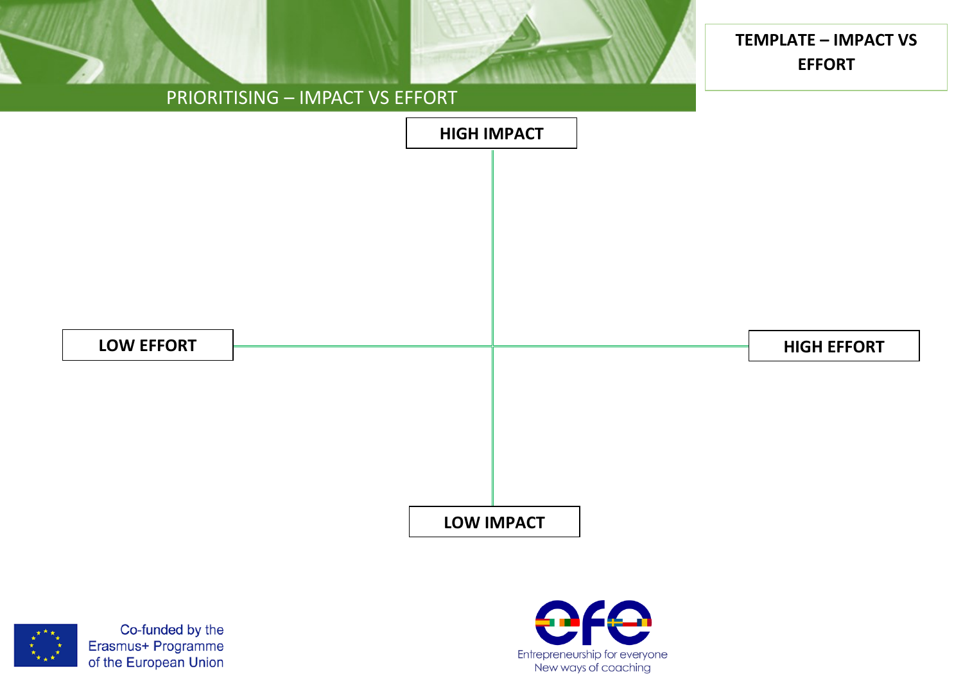